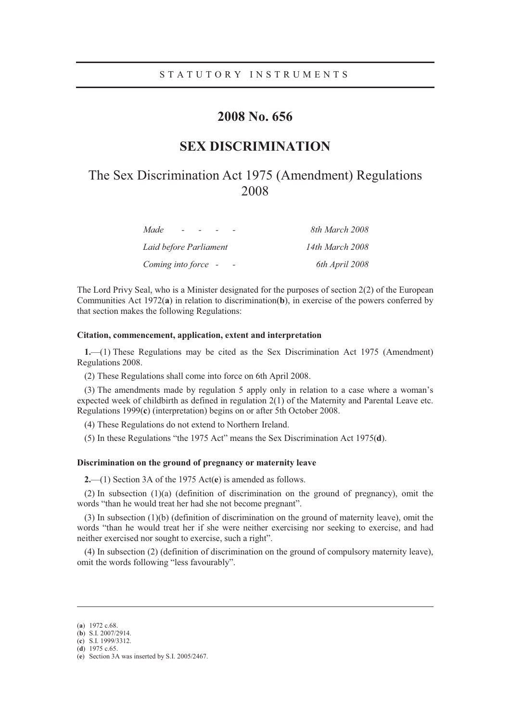# **2008 No. 656**

# **SEX DISCRIMINATION**

# The Sex Discrimination Act 1975 (Amendment) Regulations 2008

| Made<br>$\overline{\phantom{0}}$ | 8th March 2008  |
|----------------------------------|-----------------|
| Laid before Parliament           | 14th March 2008 |
| Coming into force -              | 6th April 2008  |

The Lord Privy Seal, who is a Minister designated for the purposes of section 2(2) of the European Communities Act 1972(**a**) in relation to discrimination(**b**), in exercise of the powers conferred by that section makes the following Regulations:

## **Citation, commencement, application, extent and interpretation**

**1.**—(1) These Regulations may be cited as the Sex Discrimination Act 1975 (Amendment) Regulations 2008.

(2) These Regulations shall come into force on 6th April 2008.

(3) The amendments made by regulation 5 apply only in relation to a case where a woman's expected week of childbirth as defined in regulation 2(1) of the Maternity and Parental Leave etc. Regulations 1999(**c**) (interpretation) begins on or after 5th October 2008.

(4) These Regulations do not extend to Northern Ireland.

(5) In these Regulations "the 1975 Act" means the Sex Discrimination Act 1975(**d**).

#### **Discrimination on the ground of pregnancy or maternity leave**

**2.**—(1) Section 3A of the 1975 Act(**e**) is amended as follows.

(2) In subsection (1)(a) (definition of discrimination on the ground of pregnancy), omit the words "than he would treat her had she not become pregnant".

(3) In subsection (1)(b) (definition of discrimination on the ground of maternity leave), omit the words "than he would treat her if she were neither exercising nor seeking to exercise, and had neither exercised nor sought to exercise, such a right".

(4) In subsection (2) (definition of discrimination on the ground of compulsory maternity leave), omit the words following "less favourably".

-

<sup>(</sup>**a**) 1972 c.68.

<sup>(</sup>**b**) S.I. 2007/2914.

<sup>(</sup>**c**) S.I. 1999/3312. (**d**) 1975 c.65.

<sup>(</sup>**e**) Section 3A was inserted by S.I. 2005/2467.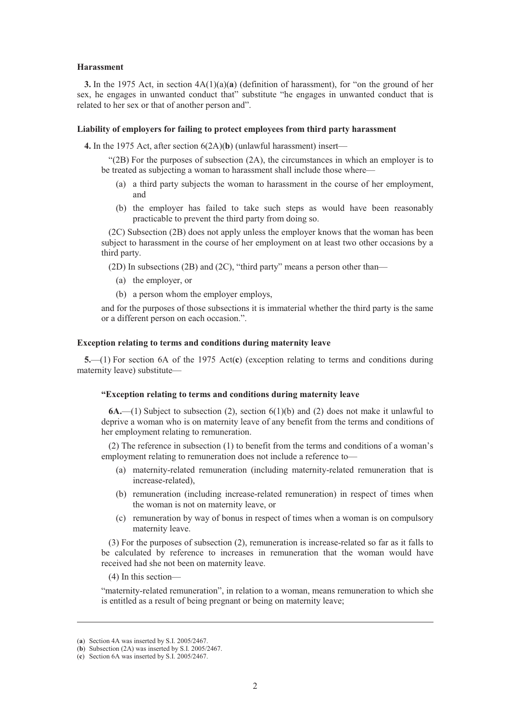#### **Harassment**

**3.** In the 1975 Act, in section 4A(1)(a)(**a**) (definition of harassment), for "on the ground of her sex, he engages in unwanted conduct that" substitute "he engages in unwanted conduct that is related to her sex or that of another person and".

#### **Liability of employers for failing to protect employees from third party harassment**

**4.** In the 1975 Act, after section 6(2A)(**b**) (unlawful harassment) insert—

 $\degree$ (2B) For the purposes of subsection (2A), the circumstances in which an employer is to be treated as subjecting a woman to harassment shall include those where—

- (a) a third party subjects the woman to harassment in the course of her employment, and
- (b) the employer has failed to take such steps as would have been reasonably practicable to prevent the third party from doing so.

(2C) Subsection (2B) does not apply unless the employer knows that the woman has been subject to harassment in the course of her employment on at least two other occasions by a third party.

(2D) In subsections (2B) and (2C), "third party" means a person other than—

- (a) the employer, or
- (b) a person whom the employer employs,

and for the purposes of those subsections it is immaterial whether the third party is the same or a different person on each occasion.".

#### **Exception relating to terms and conditions during maternity leave**

**5.**—(1) For section 6A of the 1975 Act(**c**) (exception relating to terms and conditions during maternity leave) substitute—

#### **"Exception relating to terms and conditions during maternity leave**

**6A.**—(1) Subject to subsection (2), section 6(1)(b) and (2) does not make it unlawful to deprive a woman who is on maternity leave of any benefit from the terms and conditions of her employment relating to remuneration.

(2) The reference in subsection (1) to benefit from the terms and conditions of a woman's employment relating to remuneration does not include a reference to—

- (a) maternity-related remuneration (including maternity-related remuneration that is increase-related),
- (b) remuneration (including increase-related remuneration) in respect of times when the woman is not on maternity leave, or
- (c) remuneration by way of bonus in respect of times when a woman is on compulsory maternity leave.

(3) For the purposes of subsection (2), remuneration is increase-related so far as it falls to be calculated by reference to increases in remuneration that the woman would have received had she not been on maternity leave.

(4) In this section—

"maternity-related remuneration", in relation to a woman, means remuneration to which she is entitled as a result of being pregnant or being on maternity leave;

-

<sup>(</sup>**a**) Section 4A was inserted by S.I. 2005/2467.

<sup>(</sup>**b**) Subsection (2A) was inserted by S.I. 2005/2467.

<sup>(</sup>**c**) Section 6A was inserted by S.I. 2005/2467.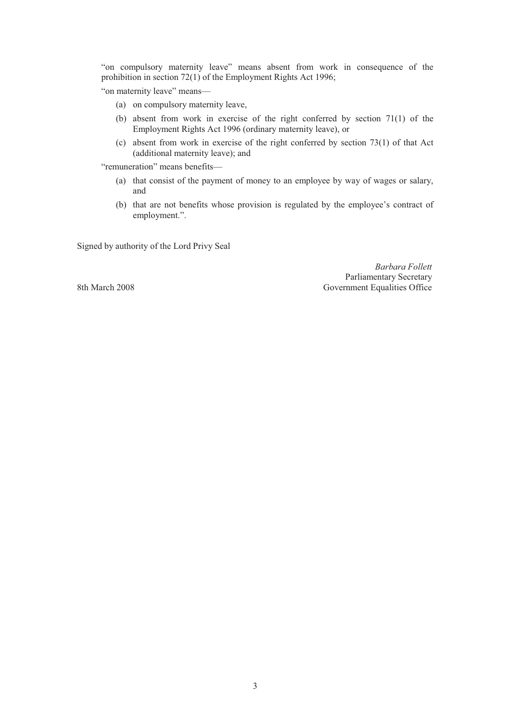"on compulsory maternity leave" means absent from work in consequence of the prohibition in section 72(1) of the Employment Rights Act 1996;

"on maternity leave" means—

- (a) on compulsory maternity leave,
- (b) absent from work in exercise of the right conferred by section 71(1) of the Employment Rights Act 1996 (ordinary maternity leave), or
- (c) absent from work in exercise of the right conferred by section 73(1) of that Act (additional maternity leave); and

"remuneration" means benefits—

- (a) that consist of the payment of money to an employee by way of wages or salary, and
- (b) that are not benefits whose provision is regulated by the employee's contract of employment.".

Signed by authority of the Lord Privy Seal

*Barbara Follett*  Parliamentary Secretary 8th March 2008 Government Equalities Office